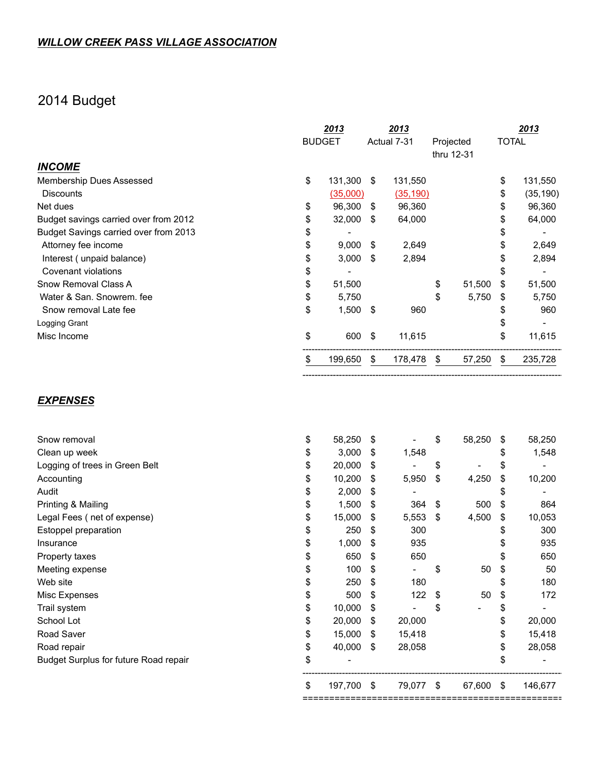## 2014 Budget

|                                       |    | 2013          |      | 2013        |            |           |              | 2013      |
|---------------------------------------|----|---------------|------|-------------|------------|-----------|--------------|-----------|
|                                       |    | <b>BUDGET</b> |      | Actual 7-31 |            | Projected | <b>TOTAL</b> |           |
|                                       |    |               |      |             | thru 12-31 |           |              |           |
| <b>INCOME</b>                         |    |               |      |             |            |           |              |           |
| Membership Dues Assessed              | \$ | 131,300 \$    |      | 131,550     |            |           | \$           | 131,550   |
| <b>Discounts</b>                      |    | (35,000)      |      | (35, 190)   |            |           | \$           | (35, 190) |
| Net dues                              | \$ | 96,300        | - \$ | 96,360      |            |           | \$           | 96,360    |
| Budget savings carried over from 2012 | \$ | 32,000        | \$   | 64,000      |            |           | \$           | 64,000    |
| Budget Savings carried over from 2013 | \$ |               |      |             |            |           | \$           |           |
| Attorney fee income                   | \$ | 9,000         | \$   | 2,649       |            |           | \$           | 2,649     |
| Interest (unpaid balance)             | \$ | 3,000         | \$   | 2,894       |            |           |              | 2,894     |
| Covenant violations                   | \$ |               |      |             |            |           | \$           |           |
| Snow Removal Class A                  | \$ | 51,500        |      |             | \$         | 51,500    | \$           | 51,500    |
| Water & San. Snowrem. fee             | \$ | 5,750         |      |             | \$         | 5,750     | \$           | 5,750     |
| Snow removal Late fee                 | \$ | 1,500         | \$   | 960         |            |           | \$           | 960       |
| Logging Grant                         |    |               |      |             |            |           |              |           |
| Misc Income                           | \$ | 600           | \$   | 11,615      |            |           | \$           | 11,615    |
|                                       | S  | 199,650       | \$   | 178,478     | \$         | 57,250    | \$           | 235,728   |
|                                       |    |               |      |             |            |           |              |           |

----------------------------------------------------------------------------------------------------------------

## *EXPENSES*

|                                       | \$ | 197,700                  | \$ | 79,077                   | \$  | 67,600                   | \$<br>146,677                  |
|---------------------------------------|----|--------------------------|----|--------------------------|-----|--------------------------|--------------------------------|
| Budget Surplus for future Road repair | \$ | $\overline{\phantom{a}}$ |    |                          |     |                          | \$                             |
| Road repair                           | \$ | 40,000                   | \$ | 28,058                   |     |                          | \$<br>28,058                   |
| Road Saver                            | \$ | 15,000                   | \$ | 15,418                   |     |                          | \$<br>15,418                   |
| School Lot                            | \$ | 20,000                   | \$ | 20,000                   |     |                          | \$<br>20,000                   |
| Trail system                          | \$ | 10,000                   | \$ |                          | \$  | $\overline{\phantom{0}}$ | \$                             |
| Misc Expenses                         | \$ | 500                      | \$ | 122                      | \$  | 50                       | \$<br>172                      |
| Web site                              |    | 250                      | \$ | 180                      |     |                          | \$<br>180                      |
| Meeting expense                       | S  | 100                      | \$ | $\overline{\phantom{a}}$ | \$  | 50                       | \$<br>50                       |
| Property taxes                        |    | 650                      | S  | 650                      |     |                          | 650                            |
| Insurance                             | \$ | 1,000                    | \$ | 935                      |     |                          | 935                            |
| Estoppel preparation                  | \$ | 250                      | \$ | 300                      |     |                          | \$<br>300                      |
| Legal Fees (net of expense)           | \$ | 15,000                   | \$ | 5,553                    | -\$ | 4,500                    | \$<br>10,053                   |
| Printing & Mailing                    | \$ | 1,500                    | \$ | 364                      | \$  | 500                      | \$<br>864                      |
| Audit                                 | \$ | 2,000                    | \$ |                          |     |                          | \$                             |
| Accounting                            | \$ | 10,200                   | \$ | 5,950                    | \$  | 4,250                    | \$<br>10,200                   |
| Logging of trees in Green Belt        | \$ | 20,000                   | \$ |                          | \$  | $\overline{\phantom{0}}$ | \$<br>$\overline{\phantom{0}}$ |
| Clean up week                         | \$ | 3,000                    | \$ | 1,548                    |     |                          | \$<br>1,548                    |
| Snow removal                          | \$ | 58,250                   | \$ |                          | \$  | 58,250                   | \$<br>58,250                   |